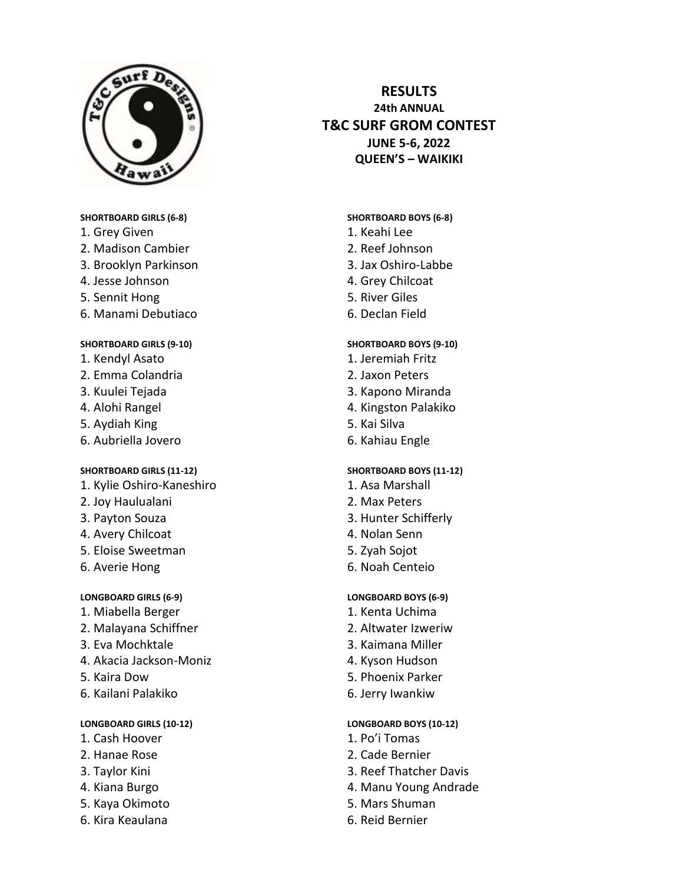

#### **SHORTBOARD GIRLS (6-8)**

- 1. Grey Given
- 2. Madison Cambier
- 3. Brooklyn Parkinson
- 4. Jesse Johnson
- 5. Sennit Hong
- 6. Manami Debutiaco

#### **SHORTBOARD GIRLS (9-10)**

- 1. Kendyl Asato
- 2. Emma Colandria
- 3. Kuulei Tejada
- 4. Alohi Rangel
- 5. Aydiah King
- 6. Aubriella Jovero

#### **SHORTBOARD GIRLS (11-12)**

- 1. Kylie Oshiro-Kaneshiro
- 2. Joy Haulualani
- 3. Payton Souza
- 4. Avery Chilcoat
- 5. Eloise Sweetman
- 6. Averie Hong

#### **LONGBOARD GIRLS (6-9)**

- 1. Miabella Berger
- 2. Malayana Schiffner
- 3. Eva Mochktale
- 4. Akacia Jackson-Moniz
- 5. Kaira Dow
- 6. Kailani Palakiko

#### **LONGBOARD GIRLS (10-12)**

- 1. Cash Hoover
- 2. Hanae Rose
- 3. Taylor Kini
- 4. Kiana Burgo
- 5. Kaya Okimoto
- 6. Kira Keaulana

# **RESULTS 24th ANNUAL T&C SURF GROM CONTEST JUNE 5-6, 2022 QUEEN'S – WAIKIKI**

### **SHORTBOARD BOYS (6-8)**

- 1. Keahi Lee
- 2. Reef Johnson
- 3. Jax Oshiro-Labbe
- 4. Grey Chilcoat
- 5. River Giles
- 6. Declan Field

### **SHORTBOARD BOYS (9-10)**

- 1. Jeremiah Fritz
- 2. Jaxon Peters
- 3. Kapono Miranda
- 4. Kingston Palakiko
- 5. Kai Silva
- 6. Kahiau Engle

# **SHORTBOARD BOYS (11-12)**

- 1. Asa Marshall
- 2. Max Peters
- 3. Hunter Schifferly
- 4. Nolan Senn
- 5. Zyah Sojot
- 6. Noah Centeio

#### **LONGBOARD BOYS (6-9)**

- 1. Kenta Uchima
- 2. Altwater Izweriw
- 3. Kaimana Miller
- 4. Kyson Hudson
- 5. Phoenix Parker
- 6. Jerry Iwankiw

# **LONGBOARD BOYS (10-12)**

- 1. Po'i Tomas
- 2. Cade Bernier
- 3. Reef Thatcher Davis
- 4. Manu Young Andrade
- 5. Mars Shuman
- 6. Reid Bernier